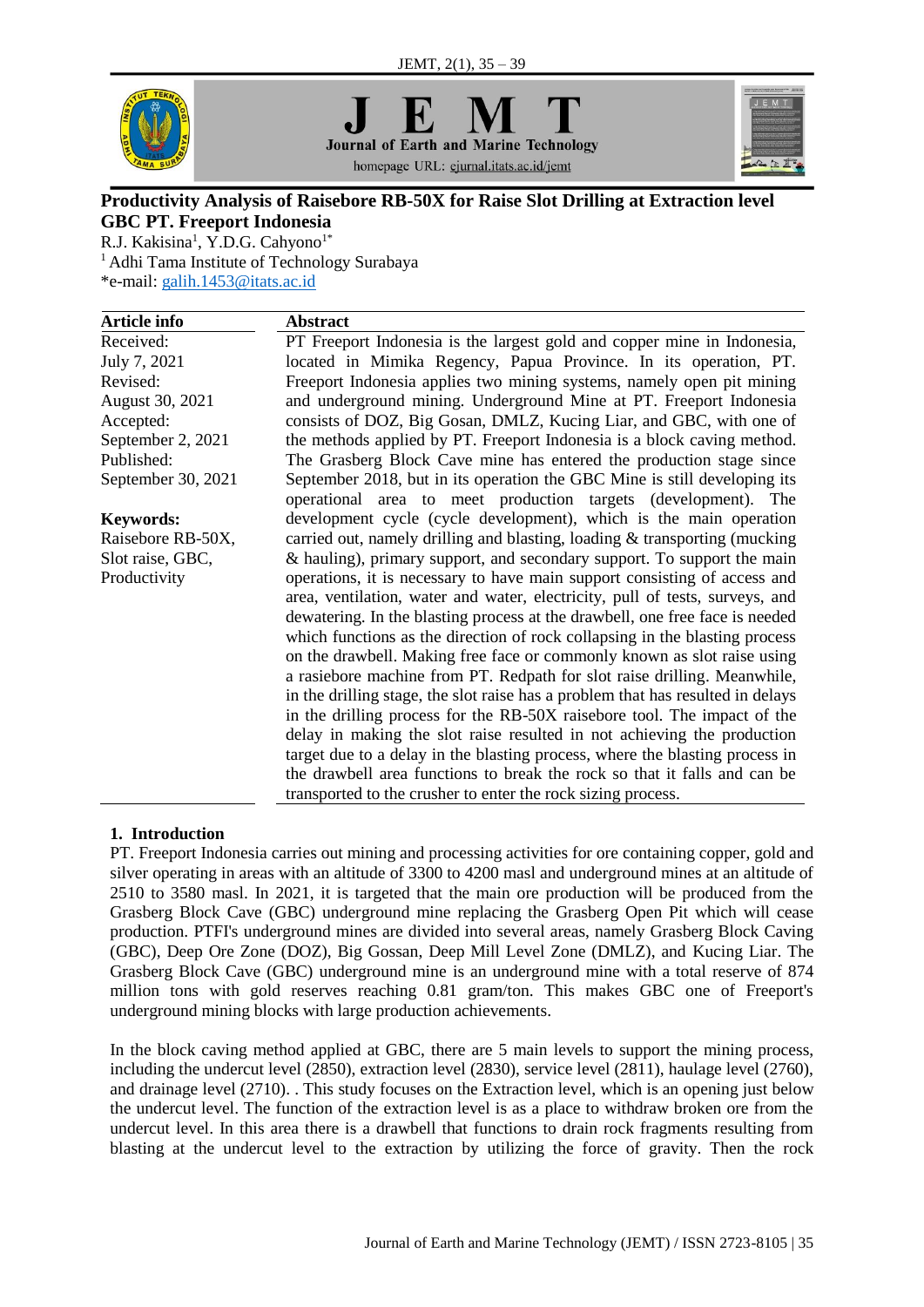

**Journal of Earth and Marine Technology** homepage URL: ejurnal.itats.ac.id/jemt



# **Productivity Analysis of Raisebore RB-50X for Raise Slot Drilling at Extraction level GBC PT. Freeport Indonesia**

R.J. Kakisina<sup>1</sup>, Y.D.G. Cahyono<sup>1\*</sup> <sup>1</sup> Adhi Tama Institute of Technology Surabaya \*e-mail: [galih.1453@itats.ac.id](mailto:galih.1453@itats.ac.id)

| Article info       | <b>Abstract</b>                                                                                                                             |  |  |  |  |
|--------------------|---------------------------------------------------------------------------------------------------------------------------------------------|--|--|--|--|
| Received:          | PT Freeport Indonesia is the largest gold and copper mine in Indonesia,                                                                     |  |  |  |  |
| July 7, 2021       | located in Mimika Regency, Papua Province. In its operation, PT.                                                                            |  |  |  |  |
| Revised:           | Freeport Indonesia applies two mining systems, namely open pit mining                                                                       |  |  |  |  |
| August 30, 2021    | and underground mining. Underground Mine at PT. Freeport Indonesia                                                                          |  |  |  |  |
| Accepted:          | consists of DOZ, Big Gosan, DMLZ, Kucing Liar, and GBC, with one of                                                                         |  |  |  |  |
| September 2, 2021  | the methods applied by PT. Freeport Indonesia is a block caving method.                                                                     |  |  |  |  |
| Published:         | The Grasberg Block Cave mine has entered the production stage since                                                                         |  |  |  |  |
| September 30, 2021 | September 2018, but in its operation the GBC Mine is still developing its<br>operational area to meet production targets (development). The |  |  |  |  |
| <b>Keywords:</b>   | development cycle (cycle development), which is the main operation                                                                          |  |  |  |  |
| Raisebore RB-50X,  | carried out, namely drilling and blasting, loading & transporting (mucking                                                                  |  |  |  |  |
| Slot raise, GBC,   | & hauling), primary support, and secondary support. To support the main                                                                     |  |  |  |  |
| Productivity       | operations, it is necessary to have main support consisting of access and                                                                   |  |  |  |  |
|                    | area, ventilation, water and water, electricity, pull of tests, surveys, and                                                                |  |  |  |  |
|                    | dewatering. In the blasting process at the drawbell, one free face is needed                                                                |  |  |  |  |
|                    | which functions as the direction of rock collapsing in the blasting process                                                                 |  |  |  |  |
|                    | on the drawbell. Making free face or commonly known as slot raise using                                                                     |  |  |  |  |
|                    | a rasiebore machine from PT. Redpath for slot raise drilling. Meanwhile,                                                                    |  |  |  |  |
|                    | in the drilling stage, the slot raise has a problem that has resulted in delays                                                             |  |  |  |  |
|                    | in the drilling process for the RB-50X raisebore tool. The impact of the                                                                    |  |  |  |  |
|                    | delay in making the slot raise resulted in not achieving the production                                                                     |  |  |  |  |
|                    | target due to a delay in the blasting process, where the blasting process in                                                                |  |  |  |  |
|                    | the drawbell area functions to break the rock so that it falls and can be                                                                   |  |  |  |  |
|                    | transported to the crusher to enter the rock sizing process.                                                                                |  |  |  |  |

# **1. Introduction**

PT. Freeport Indonesia carries out mining and processing activities for ore containing copper, gold and silver operating in areas with an altitude of 3300 to 4200 masl and underground mines at an altitude of 2510 to 3580 masl. In 2021, it is targeted that the main ore production will be produced from the Grasberg Block Cave (GBC) underground mine replacing the Grasberg Open Pit which will cease production. PTFI's underground mines are divided into several areas, namely Grasberg Block Caving (GBC), Deep Ore Zone (DOZ), Big Gossan, Deep Mill Level Zone (DMLZ), and Kucing Liar. The Grasberg Block Cave (GBC) underground mine is an underground mine with a total reserve of 874 million tons with gold reserves reaching 0.81 gram/ton. This makes GBC one of Freeport's underground mining blocks with large production achievements.

In the block caving method applied at GBC, there are 5 main levels to support the mining process, including the undercut level (2850), extraction level (2830), service level (2811), haulage level (2760), and drainage level (2710). . This study focuses on the Extraction level, which is an opening just below the undercut level. The function of the extraction level is as a place to withdraw broken ore from the undercut level. In this area there is a drawbell that functions to drain rock fragments resulting from blasting at the undercut level to the extraction by utilizing the force of gravity. Then the rock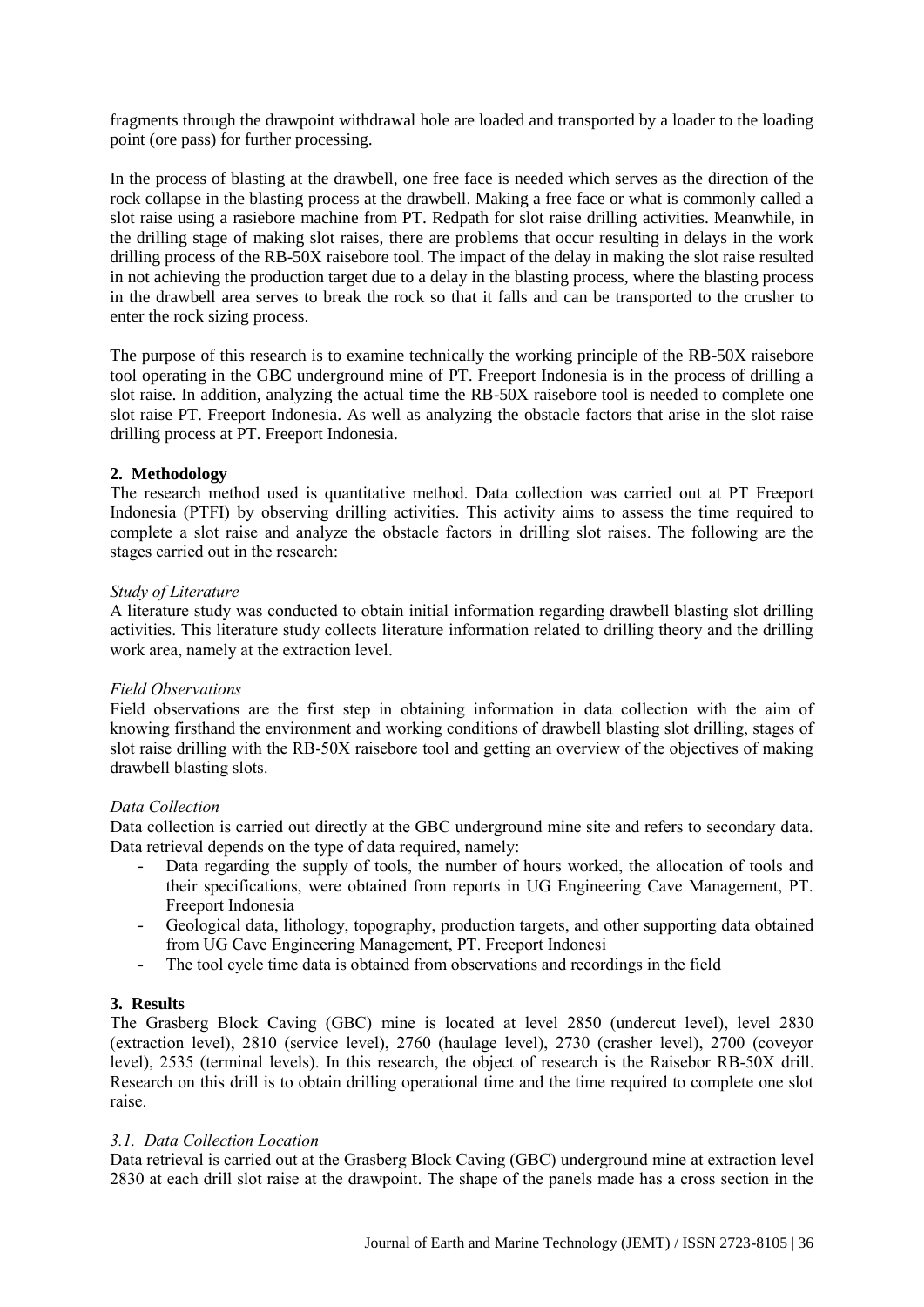fragments through the drawpoint withdrawal hole are loaded and transported by a loader to the loading point (ore pass) for further processing.

In the process of blasting at the drawbell, one free face is needed which serves as the direction of the rock collapse in the blasting process at the drawbell. Making a free face or what is commonly called a slot raise using a rasiebore machine from PT. Redpath for slot raise drilling activities. Meanwhile, in the drilling stage of making slot raises, there are problems that occur resulting in delays in the work drilling process of the RB-50X raisebore tool. The impact of the delay in making the slot raise resulted in not achieving the production target due to a delay in the blasting process, where the blasting process in the drawbell area serves to break the rock so that it falls and can be transported to the crusher to enter the rock sizing process.

The purpose of this research is to examine technically the working principle of the RB-50X raisebore tool operating in the GBC underground mine of PT. Freeport Indonesia is in the process of drilling a slot raise. In addition, analyzing the actual time the RB-50X raisebore tool is needed to complete one slot raise PT. Freeport Indonesia. As well as analyzing the obstacle factors that arise in the slot raise drilling process at PT. Freeport Indonesia.

# **2. Methodology**

The research method used is quantitative method. Data collection was carried out at PT Freeport Indonesia (PTFI) by observing drilling activities. This activity aims to assess the time required to complete a slot raise and analyze the obstacle factors in drilling slot raises. The following are the stages carried out in the research:

## *Study of Literature*

A literature study was conducted to obtain initial information regarding drawbell blasting slot drilling activities. This literature study collects literature information related to drilling theory and the drilling work area, namely at the extraction level.

## *Field Observations*

Field observations are the first step in obtaining information in data collection with the aim of knowing firsthand the environment and working conditions of drawbell blasting slot drilling, stages of slot raise drilling with the RB-50X raisebore tool and getting an overview of the objectives of making drawbell blasting slots.

## *Data Collection*

Data collection is carried out directly at the GBC underground mine site and refers to secondary data. Data retrieval depends on the type of data required, namely:

- Data regarding the supply of tools, the number of hours worked, the allocation of tools and their specifications, were obtained from reports in UG Engineering Cave Management, PT. Freeport Indonesia
- Geological data, lithology, topography, production targets, and other supporting data obtained from UG Cave Engineering Management, PT. Freeport Indonesi
- The tool cycle time data is obtained from observations and recordings in the field

# **3. Results**

The Grasberg Block Caving (GBC) mine is located at level 2850 (undercut level), level 2830 (extraction level), 2810 (service level), 2760 (haulage level), 2730 (crasher level), 2700 (coveyor level), 2535 (terminal levels). In this research, the object of research is the Raisebor RB-50X drill. Research on this drill is to obtain drilling operational time and the time required to complete one slot raise.

## *3.1. Data Collection Location*

Data retrieval is carried out at the Grasberg Block Caving (GBC) underground mine at extraction level 2830 at each drill slot raise at the drawpoint. The shape of the panels made has a cross section in the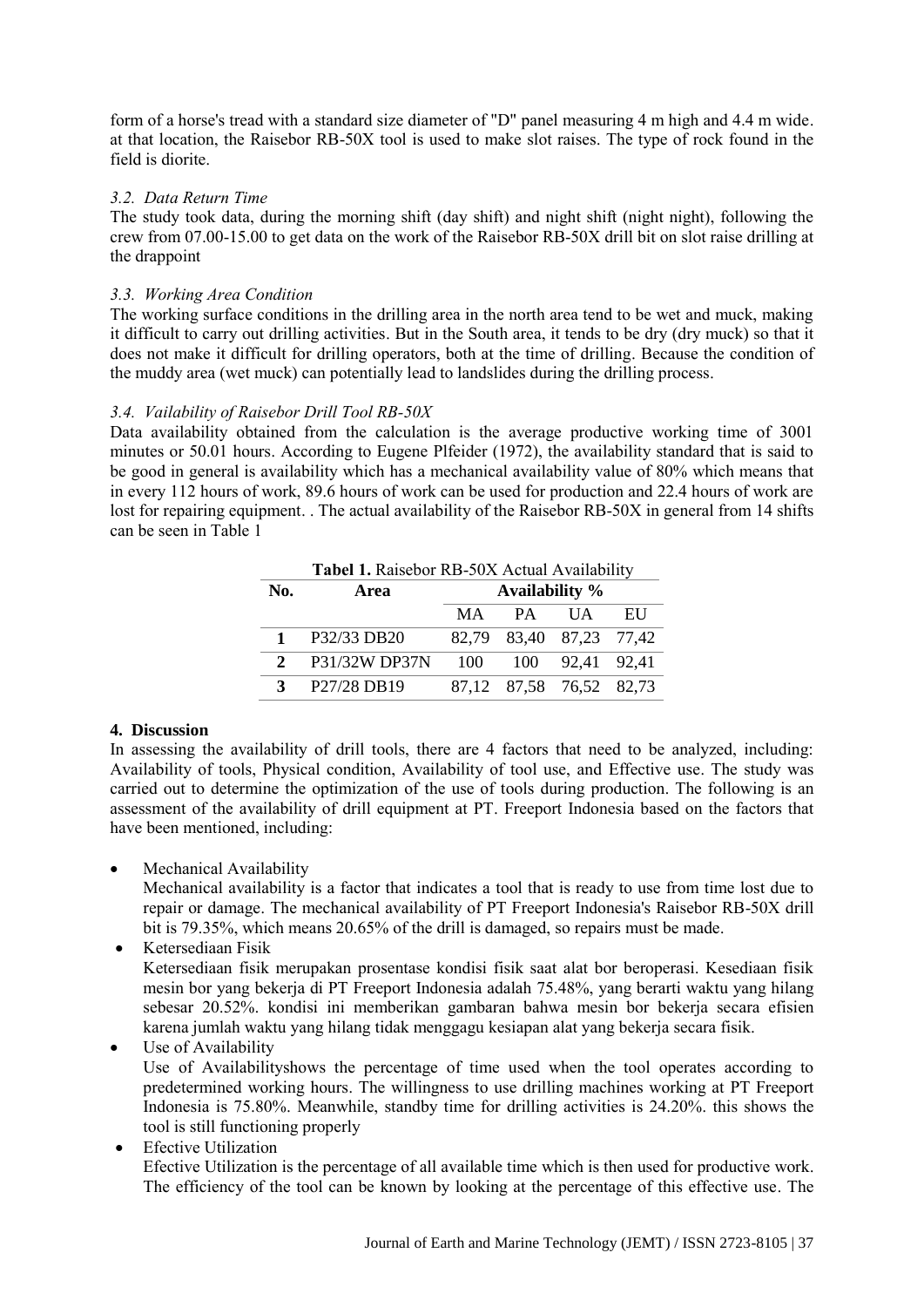form of a horse's tread with a standard size diameter of "D" panel measuring 4 m high and 4.4 m wide. at that location, the Raisebor RB-50X tool is used to make slot raises. The type of rock found in the field is diorite.

# *3.2. Data Return Time*

The study took data, during the morning shift (day shift) and night shift (night night), following the crew from 07.00-15.00 to get data on the work of the Raisebor RB-50X drill bit on slot raise drilling at the drappoint

# *3.3. Working Area Condition*

The working surface conditions in the drilling area in the north area tend to be wet and muck, making it difficult to carry out drilling activities. But in the South area, it tends to be dry (dry muck) so that it does not make it difficult for drilling operators, both at the time of drilling. Because the condition of the muddy area (wet muck) can potentially lead to landslides during the drilling process.

# *3.4. Vailability of Raisebor Drill Tool RB-50X*

Data availability obtained from the calculation is the average productive working time of 3001 minutes or 50.01 hours. According to Eugene Plfeider (1972), the availability standard that is said to be good in general is availability which has a mechanical availability value of 80% which means that in every 112 hours of work, 89.6 hours of work can be used for production and 22.4 hours of work are lost for repairing equipment. . The actual availability of the Raisebor RB-50X in general from 14 shifts can be seen in Table 1

| Tabel 1. Raisebor RB-50X Actual Availability |               |                |                         |                 |            |  |
|----------------------------------------------|---------------|----------------|-------------------------|-----------------|------------|--|
| No.                                          | Area          | Availability % |                         |                 |            |  |
|                                              |               | MA             | PA                      | <b>IJA</b>      | <b>EII</b> |  |
|                                              | P32/33 DB20   |                | 82,79 83,40 87,23 77,42 |                 |            |  |
| $\mathcal{L}$                                | P31/32W DP37N | 100            |                         | 100 92,41 92,41 |            |  |
| $\mathbf{3}$                                 | P27/28 DB19   |                | 87,12 87,58 76,52 82,73 |                 |            |  |

## **4. Discussion**

In assessing the availability of drill tools, there are 4 factors that need to be analyzed, including: Availability of tools, Physical condition, Availability of tool use, and Effective use. The study was carried out to determine the optimization of the use of tools during production. The following is an assessment of the availability of drill equipment at PT. Freeport Indonesia based on the factors that have been mentioned, including:

Mechanical Availability

Mechanical availability is a factor that indicates a tool that is ready to use from time lost due to repair or damage. The mechanical availability of PT Freeport Indonesia's Raisebor RB-50X drill bit is 79.35%, which means 20.65% of the drill is damaged, so repairs must be made.

 Ketersediaan Fisik Ketersediaan fisik merupakan prosentase kondisi fisik saat alat bor beroperasi. Kesediaan fisik mesin bor yang bekerja di PT Freeport Indonesia adalah 75.48%, yang berarti waktu yang hilang sebesar 20.52%. kondisi ini memberikan gambaran bahwa mesin bor bekerja secara efisien karena jumlah waktu yang hilang tidak menggagu kesiapan alat yang bekerja secara fisik.

Use of Availability

Use of Availabilityshows the percentage of time used when the tool operates according to predetermined working hours. The willingness to use drilling machines working at PT Freeport Indonesia is 75.80%. Meanwhile, standby time for drilling activities is 24.20%. this shows the tool is still functioning properly

Efective Utilization

Efective Utilization is the percentage of all available time which is then used for productive work. The efficiency of the tool can be known by looking at the percentage of this effective use. The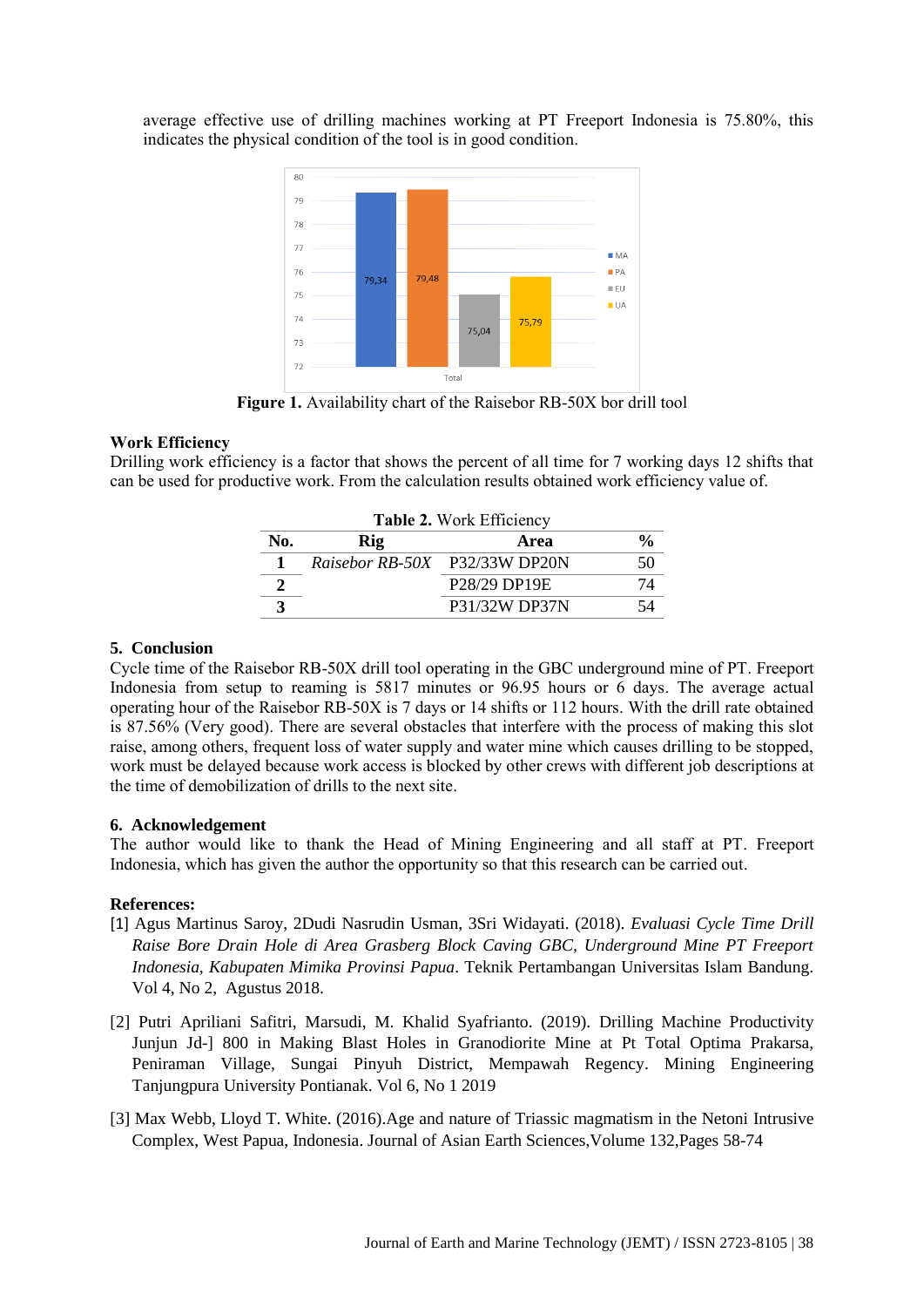average effective use of drilling machines working at PT Freeport Indonesia is 75.80%, this indicates the physical condition of the tool is in good condition.



**Figure 1.** Availability chart of the Raisebor RB-50X bor drill tool

## **Work Efficiency**

Drilling work efficiency is a factor that shows the percent of all time for 7 working days 12 shifts that can be used for productive work. From the calculation results obtained work efficiency value of.

| <b>Table 2. Work Efficiency</b> |                               |                                        |    |  |  |  |  |
|---------------------------------|-------------------------------|----------------------------------------|----|--|--|--|--|
| No.                             | Rig                           | Area                                   |    |  |  |  |  |
|                                 | Raisebor RB-50X P32/33W DP20N |                                        | 50 |  |  |  |  |
|                                 |                               | P <sub>28</sub> /29 DP <sub>19</sub> E |    |  |  |  |  |
|                                 |                               | P31/32W DP37N                          |    |  |  |  |  |

# **5. Conclusion**

Cycle time of the Raisebor RB-50X drill tool operating in the GBC underground mine of PT. Freeport Indonesia from setup to reaming is 5817 minutes or 96.95 hours or  $\overline{6}$  days. The average actual operating hour of the Raisebor RB-50X is 7 days or 14 shifts or 112 hours. With the drill rate obtained is 87.56% (Very good). There are several obstacles that interfere with the process of making this slot raise, among others, frequent loss of water supply and water mine which causes drilling to be stopped, work must be delayed because work access is blocked by other crews with different job descriptions at the time of demobilization of drills to the next site.

## **6. Acknowledgement**

The author would like to thank the Head of Mining Engineering and all staff at PT. Freeport Indonesia, which has given the author the opportunity so that this research can be carried out.

## **References:**

- [1] Agus Martinus Saroy, 2Dudi Nasrudin Usman, 3Sri Widayati. (2018). *Evaluasi Cycle Time Drill Raise Bore Drain Hole di Area Grasberg Block Caving GBC, Underground Mine PT Freeport Indonesia, Kabupaten Mimika Provinsi Papua*. Teknik Pertambangan Universitas Islam Bandung. Vol 4, No 2, Agustus 2018.
- [2] Putri Apriliani Safitri, Marsudi, M. Khalid Syafrianto. (2019). Drilling Machine Productivity Junjun Jd-] 800 in Making Blast Holes in Granodiorite Mine at Pt Total Optima Prakarsa, Peniraman Village, Sungai Pinyuh District, Mempawah Regency. Mining Engineering Tanjungpura University Pontianak. Vol 6, No 1 2019
- [3] Max Webb, Lloyd T. White. (2016).Age and nature of Triassic magmatism in the Netoni Intrusive Complex, West Papua, Indonesia. Journal of Asian Earth Sciences,Volume 132,Pages 58-74